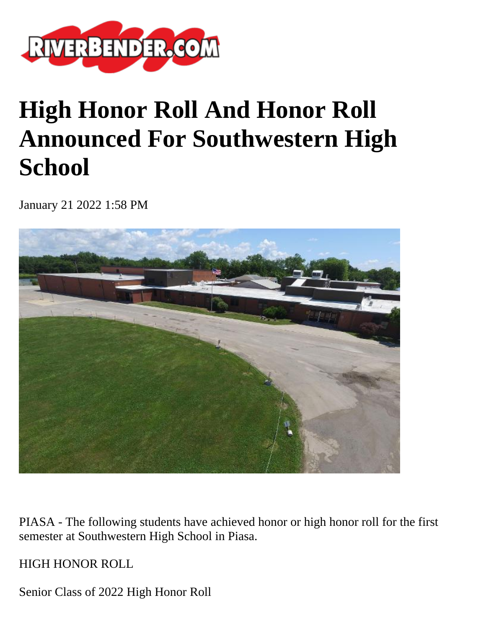

## **High Honor Roll And Honor Roll Announced For Southwestern High School**

January 21 2022 1:58 PM



PIASA - The following students have achieved honor or high honor roll for the first semester at Southwestern High School in Piasa.

HIGH HONOR ROLL

Senior Class of 2022 High Honor Roll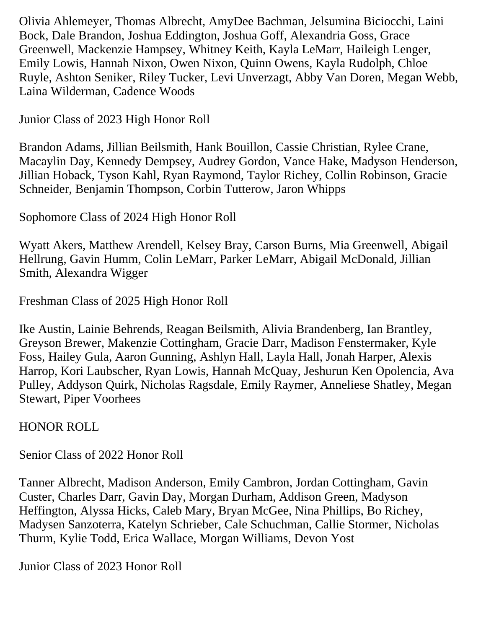Olivia Ahlemeyer, Thomas Albrecht, AmyDee Bachman, Jelsumina Biciocchi, Laini Bock, Dale Brandon, Joshua Eddington, Joshua Goff, Alexandria Goss, Grace Greenwell, Mackenzie Hampsey, Whitney Keith, Kayla LeMarr, Haileigh Lenger, Emily Lowis, Hannah Nixon, Owen Nixon, Quinn Owens, Kayla Rudolph, Chloe Ruyle, Ashton Seniker, Riley Tucker, Levi Unverzagt, Abby Van Doren, Megan Webb, Laina Wilderman, Cadence Woods

Junior Class of 2023 High Honor Roll

Brandon Adams, Jillian Beilsmith, Hank Bouillon, Cassie Christian, Rylee Crane, Macaylin Day, Kennedy Dempsey, Audrey Gordon, Vance Hake, Madyson Henderson, Jillian Hoback, Tyson Kahl, Ryan Raymond, Taylor Richey, Collin Robinson, Gracie Schneider, Benjamin Thompson, Corbin Tutterow, Jaron Whipps

Sophomore Class of 2024 High Honor Roll

Wyatt Akers, Matthew Arendell, Kelsey Bray, Carson Burns, Mia Greenwell, Abigail Hellrung, Gavin Humm, Colin LeMarr, Parker LeMarr, Abigail McDonald, Jillian Smith, Alexandra Wigger

Freshman Class of 2025 High Honor Roll

Ike Austin, Lainie Behrends, Reagan Beilsmith, Alivia Brandenberg, Ian Brantley, Greyson Brewer, Makenzie Cottingham, Gracie Darr, Madison Fenstermaker, Kyle Foss, Hailey Gula, Aaron Gunning, Ashlyn Hall, Layla Hall, Jonah Harper, Alexis Harrop, Kori Laubscher, Ryan Lowis, Hannah McQuay, Jeshurun Ken Opolencia, Ava Pulley, Addyson Quirk, Nicholas Ragsdale, Emily Raymer, Anneliese Shatley, Megan Stewart, Piper Voorhees

HONOR ROLL

Senior Class of 2022 Honor Roll

Tanner Albrecht, Madison Anderson, Emily Cambron, Jordan Cottingham, Gavin Custer, Charles Darr, Gavin Day, Morgan Durham, Addison Green, Madyson Heffington, Alyssa Hicks, Caleb Mary, Bryan McGee, Nina Phillips, Bo Richey, Madysen Sanzoterra, Katelyn Schrieber, Cale Schuchman, Callie Stormer, Nicholas Thurm, Kylie Todd, Erica Wallace, Morgan Williams, Devon Yost

Junior Class of 2023 Honor Roll